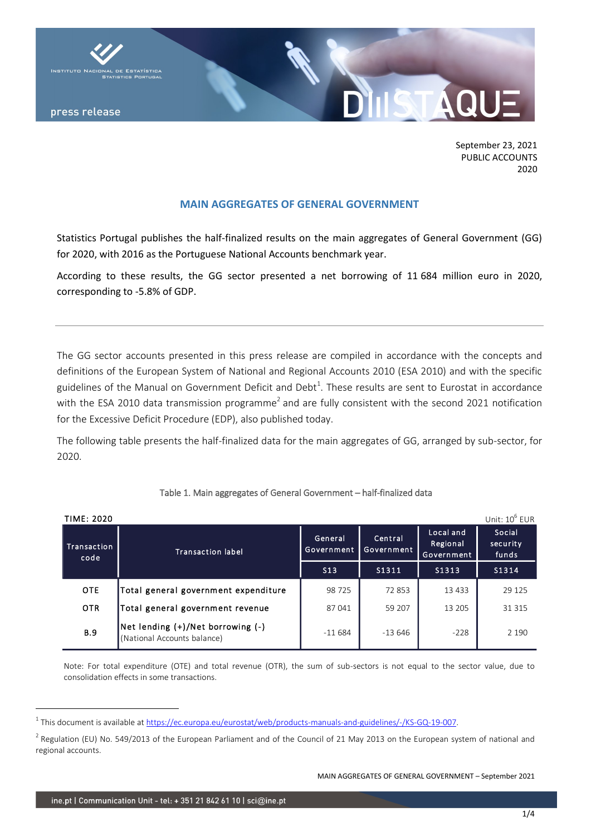

STATÍSTICA

press release

INSTITUTO I

September 23, 2021 PUBLIC ACCOUNTS 2020

# **MAIN AGGREGATES OF GENERAL GOVERNMENT**

Statistics Portugal publishes the half-finalized results on the main aggregates of General Government (GG) for 2020, with 2016 as the Portuguese National Accounts benchmark year.

According to these results, the GG sector presented a net borrowing of 11 684 million euro in 2020, corresponding to -5.8% of GDP.

The GG sector accounts presented in this press release are compiled in accordance with the concepts and definitions of the European System of National and Regional Accounts 2010 (ESA 2010) and with the specific guidelines of the Manual on Government Deficit and Debt<sup>1</sup>. These results are sent to Eurostat in accordance with the ESA 2010 data transmission programme<sup>2</sup> and are fully consistent with the second 2021 notification for the Excessive Deficit Procedure (EDP), also published today.

The following table presents the half-finalized data for the main aggregates of GG, arranged by sub-sector, for 2020.

| <b>TIME: 2020</b>   |                                                                  |                       |                       |                                     | Unit: 10 <sup>6</sup> EUR   |
|---------------------|------------------------------------------------------------------|-----------------------|-----------------------|-------------------------------------|-----------------------------|
| Transaction<br>code | <b>Transaction label</b>                                         | General<br>Government | Central<br>Government | Local and<br>Regional<br>Government | Social<br>security<br>funds |
|                     |                                                                  | S <sub>13</sub>       | S1311                 | S1313                               | S1314                       |
| <b>OTE</b>          | Total general government expenditure                             | 98 7 25               | 72853                 | 13 4 33                             | 29 1 25                     |
| <b>OTR</b>          | Total general government revenue                                 | 87041                 | 59 207                | 13 205                              | 31 315                      |
| <b>B.9</b>          | Net lending (+)/Net borrowing (-)<br>(National Accounts balance) | $-11684$              | $-13646$              | $-228$                              | 2 1 9 0                     |

### Table 1. Main aggregates of General Government – half-finalized data

Note: For total expenditure (OTE) and total revenue (OTR), the sum of sub-sectors is not equal to the sector value, due to consolidation effects in some transactions.

MAIN AGGREGATES OF GENERAL GOVERNMENT – September 2021

-

<sup>&</sup>lt;sup>1</sup> This document is available at <u>https://ec.europa.eu/eurostat/web/products-manuals-and-guidelines/-/KS-GQ-19-007</u>.

 $^2$  Regulation (EU) No. 549/2013 of the European Parliament and of the Council of 21 May 2013 on the European system of national and regional accounts.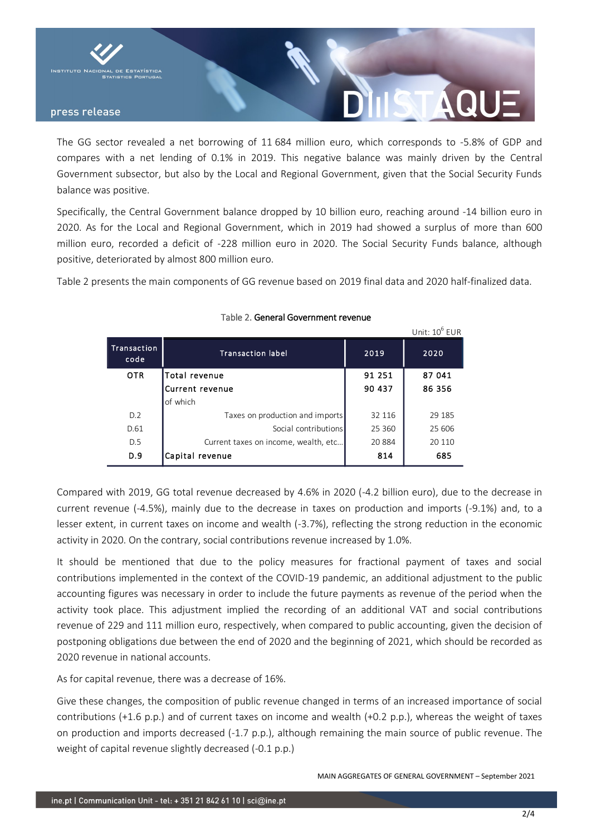

The GG sector revealed a net borrowing of 11 684 million euro, which corresponds to -5.8% of GDP and compares with a net lending of 0.1% in 2019. This negative balance was mainly driven by the Central Government subsector, but also by the Local and Regional Government, given that the Social Security Funds balance was positive.

Specifically, the Central Government balance dropped by 10 billion euro, reaching around -14 billion euro in 2020. As for the Local and Regional Government, which in 2019 had showed a surplus of more than 600 million euro, recorded a deficit of -228 million euro in 2020. The Social Security Funds balance, although positive, deteriorated by almost 800 million euro.

Table 2 presents the main components of GG revenue based on 2019 final data and 2020 half-finalized data.

|                     |                                      |         | Unit: $10^6$ EUR |
|---------------------|--------------------------------------|---------|------------------|
| Transaction<br>code | <b>Transaction label</b>             | 2019    | 2020             |
| <b>OTR</b>          | Total revenue                        | 91 251  | 87 041           |
|                     | Current revenue                      | 90 437  | 86 356           |
|                     | of which                             |         |                  |
| D.2                 | Taxes on production and imports      | 32 116  | 29 185           |
| D.61                | Social contributions                 | 25 3 60 | 25 606           |
| D.5                 | Current taxes on income, wealth, etc | 20884   | 20 110           |
| D.9                 | Capital revenue                      | 814     | 685              |

## Table 2. General Government revenue

Compared with 2019, GG total revenue decreased by 4.6% in 2020 (-4.2 billion euro), due to the decrease in current revenue (-4.5%), mainly due to the decrease in taxes on production and imports (-9.1%) and, to a lesser extent, in current taxes on income and wealth (-3.7%), reflecting the strong reduction in the economic activity in 2020. On the contrary, social contributions revenue increased by 1.0%.

It should be mentioned that due to the policy measures for fractional payment of taxes and social contributions implemented in the context of the COVID-19 pandemic, an additional adjustment to the public accounting figures was necessary in order to include the future payments as revenue of the period when the activity took place. This adjustment implied the recording of an additional VAT and social contributions revenue of 229 and 111 million euro, respectively, when compared to public accounting, given the decision of postponing obligations due between the end of 2020 and the beginning of 2021, which should be recorded as 2020 revenue in national accounts.

As for capital revenue, there was a decrease of 16%.

Give these changes, the composition of public revenue changed in terms of an increased importance of social contributions (+1.6 p.p.) and of current taxes on income and wealth (+0.2 p.p.), whereas the weight of taxes on production and imports decreased (-1.7 p.p.), although remaining the main source of public revenue. The weight of capital revenue slightly decreased (-0.1 p.p.)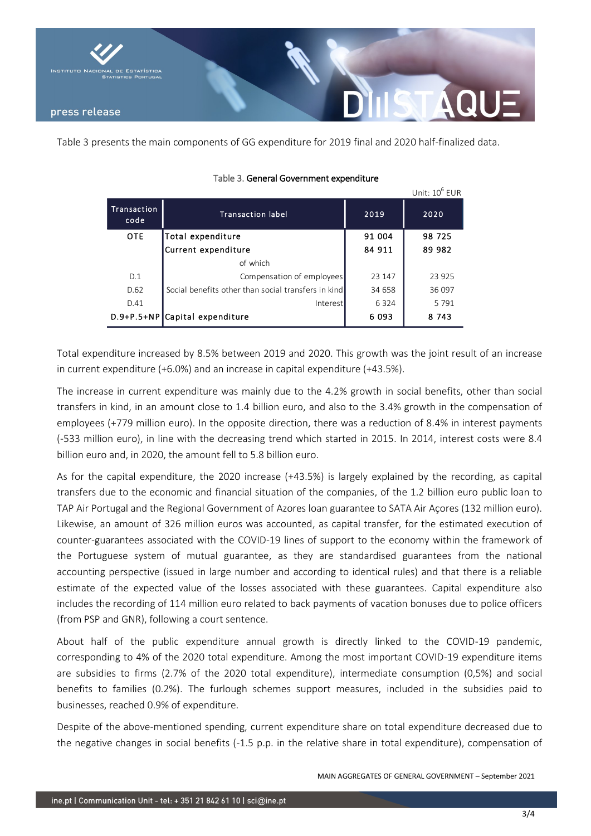

Table 3 presents the main components of GG expenditure for 2019 final and 2020 half-finalized data.

|                     |                                                     |         | Unit: 10 <sup>6</sup> EUR |
|---------------------|-----------------------------------------------------|---------|---------------------------|
| Transaction<br>code | <b>Transaction label</b>                            | 2019    | 2020                      |
| <b>OTE</b>          | Total expenditure                                   | 91 004  | 98 725                    |
|                     | Current expenditure                                 | 84 911  | 89 982                    |
|                     | of which                                            |         |                           |
| D.1                 | Compensation of employees                           | 23 147  | 23 925                    |
| D.62                | Social benefits other than social transfers in kind | 34 658  | 36 097                    |
| D.41                | Interest                                            | 6 3 2 4 | 5 7 9 1                   |
|                     | D.9+P.5+NP Capital expenditure                      | 6 0 9 3 | 8 7 4 3                   |

#### Table 3. General Government expenditure

Total expenditure increased by 8.5% between 2019 and 2020. This growth was the joint result of an increase in current expenditure (+6.0%) and an increase in capital expenditure (+43.5%).

The increase in current expenditure was mainly due to the 4.2% growth in social benefits, other than social transfers in kind, in an amount close to 1.4 billion euro, and also to the 3.4% growth in the compensation of employees (+779 million euro). In the opposite direction, there was a reduction of 8.4% in interest payments (-533 million euro), in line with the decreasing trend which started in 2015. In 2014, interest costs were 8.4 billion euro and, in 2020, the amount fell to 5.8 billion euro.

As for the capital expenditure, the 2020 increase (+43.5%) is largely explained by the recording, as capital transfers due to the economic and financial situation of the companies, of the 1.2 billion euro public loan to TAP Air Portugal and the Regional Government of Azores loan guarantee to SATA Air Açores (132 million euro). Likewise, an amount of 326 million euros was accounted, as capital transfer, for the estimated execution of counter-guarantees associated with the COVID-19 lines of support to the economy within the framework of the Portuguese system of mutual guarantee, as they are standardised guarantees from the national accounting perspective (issued in large number and according to identical rules) and that there is a reliable estimate of the expected value of the losses associated with these guarantees. Capital expenditure also includes the recording of 114 million euro related to back payments of vacation bonuses due to police officers (from PSP and GNR), following a court sentence.

About half of the public expenditure annual growth is directly linked to the COVID-19 pandemic, corresponding to 4% of the 2020 total expenditure. Among the most important COVID-19 expenditure items are subsidies to firms (2.7% of the 2020 total expenditure), intermediate consumption (0,5%) and social benefits to families (0.2%). The furlough schemes support measures, included in the subsidies paid to businesses, reached 0.9% of expenditure.

Despite of the above-mentioned spending, current expenditure share on total expenditure decreased due to the negative changes in social benefits (-1.5 p.p. in the relative share in total expenditure), compensation of